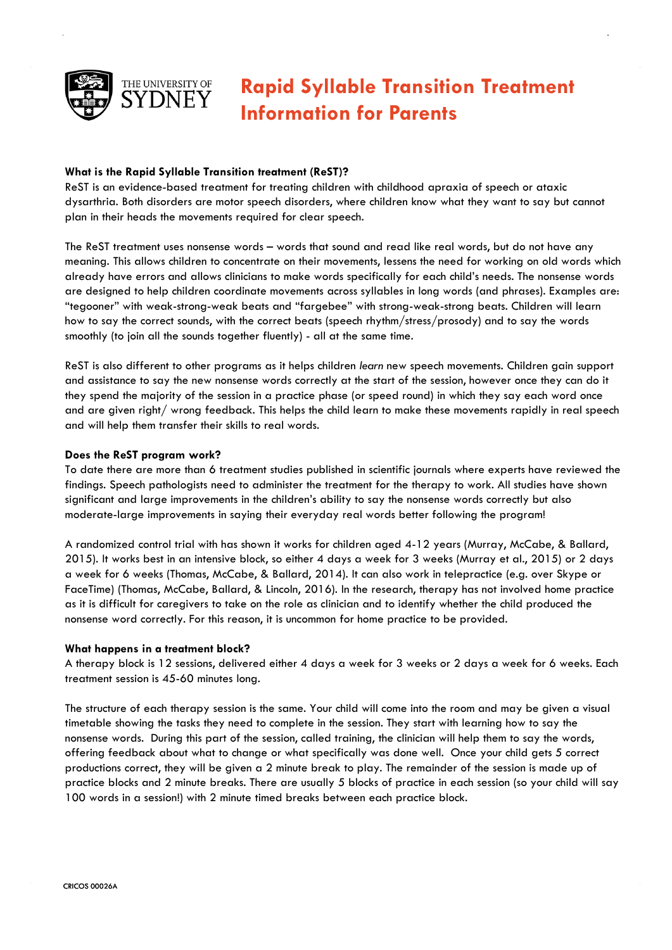

# **Rapid Syllable Transition Treatment Information for Parents**

# **What is the Rapid Syllable Transition treatment (ReST)?**

ReST is an evidence-based treatment for treating children with childhood apraxia of speech or ataxic dysarthria. Both disorders are motor speech disorders, where children know what they want to say but cannot plan in their heads the movements required for clear speech.

The ReST treatment uses nonsense words – words that sound and read like real words, but do not have any meaning. This allows children to concentrate on their movements, lessens the need for working on old words which already have errors and allows clinicians to make words specifically for each child's needs. The nonsense words are designed to help children coordinate movements across syllables in long words (and phrases). Examples are: "tegooner" with weak-strong-weak beats and "fargebee" with strong-weak-strong beats. Children will learn how to say the correct sounds, with the correct beats (speech rhythm/stress/prosody) and to say the words smoothly (to join all the sounds together fluently) - all at the same time.

ReST is also different to other programs as it helps children *learn* new speech movements. Children gain support and assistance to say the new nonsense words correctly at the start of the session, however once they can do it they spend the majority of the session in a practice phase (or speed round) in which they say each word once and are given right/ wrong feedback. This helps the child learn to make these movements rapidly in real speech and will help them transfer their skills to real words.

## **Does the ReST program work?**

To date there are more than 6 treatment studies published in scientific journals where experts have reviewed the findings. Speech pathologists need to administer the treatment for the therapy to work. All studies have shown significant and large improvements in the children's ability to say the nonsense words correctly but also moderate-large improvements in saying their everyday real words better following the program!

A randomized control trial with has shown it works for children aged 4-12 years (Murray, McCabe, & Ballard, 2015). It works best in an intensive block, so either 4 days a week for 3 weeks (Murray et al., 2015) or 2 days a week for 6 weeks (Thomas, McCabe, & Ballard, 2014). It can also work in telepractice (e.g. over Skype or FaceTime) (Thomas, McCabe, Ballard, & Lincoln, 2016). In the research, therapy has not involved home practice as it is difficult for caregivers to take on the role as clinician and to identify whether the child produced the nonsense word correctly. For this reason, it is uncommon for home practice to be provided.

## **What happens in a treatment block?**

A therapy block is 12 sessions, delivered either 4 days a week for 3 weeks or 2 days a week for 6 weeks. Each treatment session is 45-60 minutes long.

The structure of each therapy session is the same. Your child will come into the room and may be given a visual timetable showing the tasks they need to complete in the session. They start with learning how to say the nonsense words. During this part of the session, called training, the clinician will help them to say the words, offering feedback about what to change or what specifically was done well. Once your child gets 5 correct productions correct, they will be given a 2 minute break to play. The remainder of the session is made up of practice blocks and 2 minute breaks. There are usually 5 blocks of practice in each session (so your child will say 100 words in a session!) with 2 minute timed breaks between each practice block.